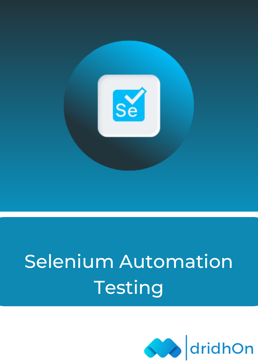

# Selenium Automation Testing

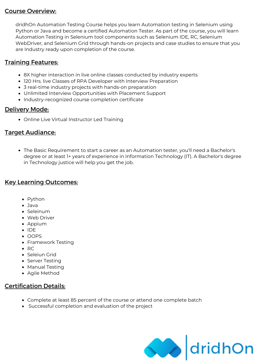## Course Overview:

dridhOn Automation Testing Course helps you learn Automation testing in Selenium using Python or Java and become a certified Automation Tester. As part of the course, you will learn Automation Testing in Selenium tool components such as Selenium IDE, RC, Selenium WebDriver, and Selenium Grid through hands-on projects and case studies to ensure that you are Industry ready upon completion of the course.

## **Training Features:**

- 8X higher interaction in live online classes conducted by industry experts
- 120 Hrs. live Classes of RPA Developer with Interview Preparation
- 3 real-time industry projects with hands-on preparation
- Unlimited Interview Opportunities with Placement Support
- Industry-recognized course completion certificate

## Delivery Mode:

Online Live Virtual Instructor Led Training

## Target Audiance:

The Basic Requirement to start a career as an Automation tester, you'll need a Bachelor's degree or at least 1+ years of experience in Information Technology (IT). A Bachelor's degree in Technology justice will help you get the job.

### Key Learning Outcomes:

- Python
- Java
- Seleinum
- Web Driver
- Appium
- $\bullet$  IDE
- OOPS
- Framework Testing
- $\bullet$  RC
- Seleiun Grid
- Server Testing
- Manual Testing
- Agile Method

## Certification Details:

- Complete at least 85 percent of the course or attend one complete batch
- Successful completion and evaluation of the project

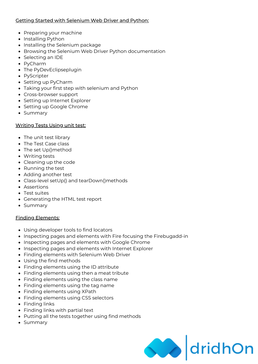#### Getting Started with Selenium Web Driver and Python:

- Preparing your machine
- Installing Python
- Installing the Selenium package
- Browsing the Selenium Web Driver Python documentation
- Selecting an IDE
- PyCharm
- The PyDevEclipseplugin
- PyScripter
- Setting up PyCharm
- Taking your first step with selenium and Python
- Cross-browser support
- Setting up Internet Explorer
- Setting up Google Chrome
- Summary

#### Writing Tests Using unit test:

- The unit test library
- The Test Case class
- The set Up()method
- Writing tests
- Cleaning up the code
- Running the test
- Adding another test
- Class-level setUp() and tearDown()methods
- Assertions
- Test suites
- Generating the HTML test report
- Summary

#### Finding Elements:

- Using developer tools to find locators
- Inspecting pages and elements with Fire focusing the Firebugadd-in
- Inspecting pages and elements with Google Chrome
- Inspecting pages and elements with Internet Explorer
- Finding elements with Selenium Web Driver
- Using the find methods
- Finding elements using the ID attribute
- Finding elements using then a meat tribute
- Finding elements using the class name
- Finding elements using the tag name
- Finding elements using XPath
- Finding elements using CSS selectors
- Finding links
- Finding links with partial text
- Putting all the tests together using find methods
- Summary